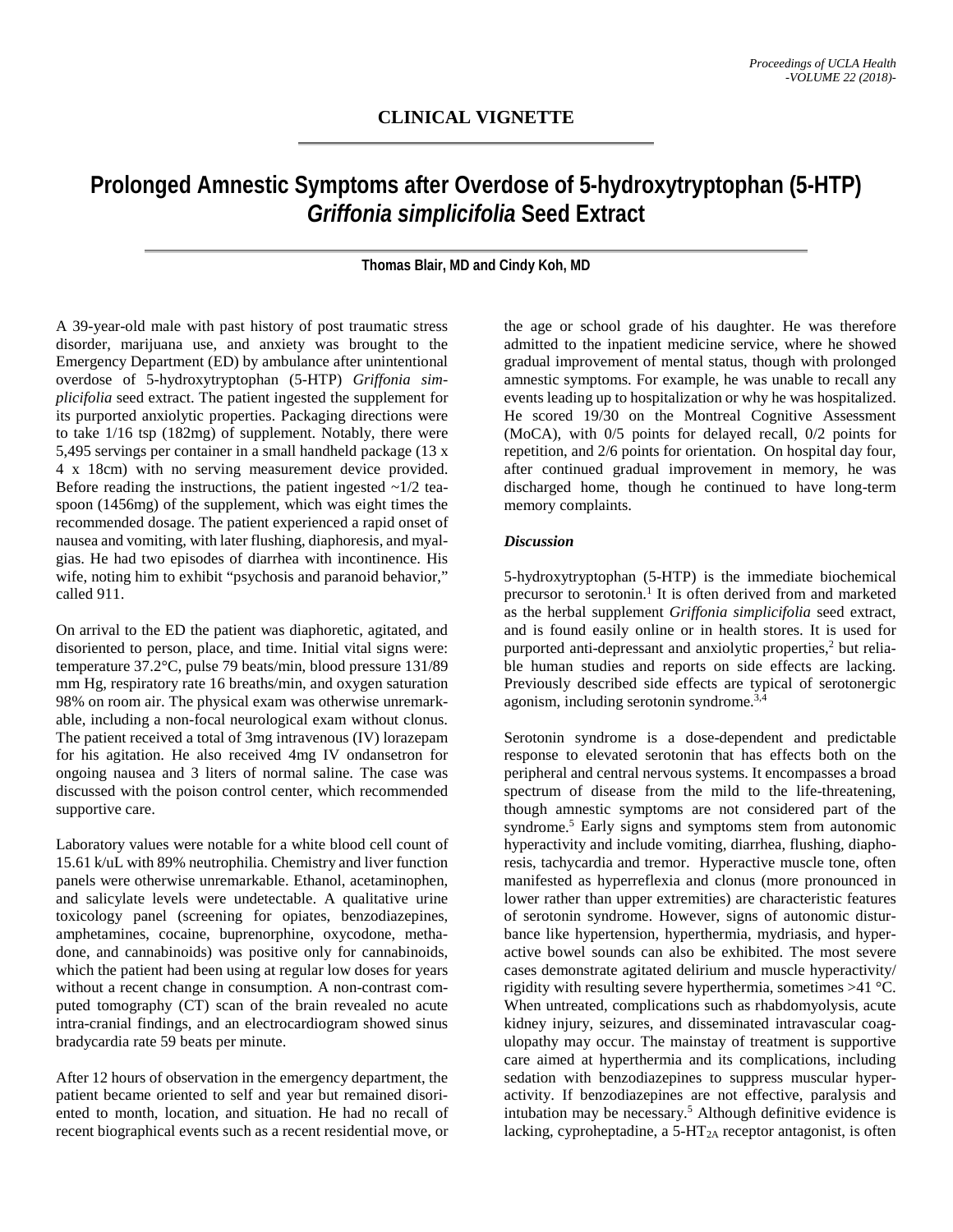## **Prolonged Amnestic Symptoms after Overdose of 5-hydroxytryptophan (5-HTP)** *Griffonia simplicifolia* **Seed Extract**

**Thomas Blair, MD and Cindy Koh, MD**

A 39-year-old male with past history of post traumatic stress disorder, marijuana use, and anxiety was brought to the Emergency Department (ED) by ambulance after unintentional overdose of 5-hydroxytryptophan (5-HTP) *Griffonia simplicifolia* seed extract. The patient ingested the supplement for its purported anxiolytic properties. Packaging directions were to take 1/16 tsp (182mg) of supplement. Notably, there were 5,495 servings per container in a small handheld package (13 x 4 x 18cm) with no serving measurement device provided. Before reading the instructions, the patient ingested  $\sim$ 1/2 teaspoon (1456mg) of the supplement, which was eight times the recommended dosage. The patient experienced a rapid onset of nausea and vomiting, with later flushing, diaphoresis, and myalgias. He had two episodes of diarrhea with incontinence. His wife, noting him to exhibit "psychosis and paranoid behavior," called 911.

On arrival to the ED the patient was diaphoretic, agitated, and disoriented to person, place, and time. Initial vital signs were: temperature 37.2°C, pulse 79 beats/min, blood pressure 131/89 mm Hg, respiratory rate 16 breaths/min, and oxygen saturation 98% on room air. The physical exam was otherwise unremarkable, including a non-focal neurological exam without clonus. The patient received a total of 3mg intravenous (IV) lorazepam for his agitation. He also received 4mg IV ondansetron for ongoing nausea and 3 liters of normal saline. The case was discussed with the poison control center, which recommended supportive care.

Laboratory values were notable for a white blood cell count of 15.61 k/uL with 89% neutrophilia. Chemistry and liver function panels were otherwise unremarkable. Ethanol, acetaminophen, and salicylate levels were undetectable. A qualitative urine toxicology panel (screening for opiates, benzodiazepines, amphetamines, cocaine, buprenorphine, oxycodone, methadone, and cannabinoids) was positive only for cannabinoids, which the patient had been using at regular low doses for years without a recent change in consumption. A non-contrast computed tomography (CT) scan of the brain revealed no acute intra-cranial findings, and an electrocardiogram showed sinus bradycardia rate 59 beats per minute.

After 12 hours of observation in the emergency department, the patient became oriented to self and year but remained disoriented to month, location, and situation. He had no recall of recent biographical events such as a recent residential move, or the age or school grade of his daughter. He was therefore admitted to the inpatient medicine service, where he showed gradual improvement of mental status, though with prolonged amnestic symptoms. For example, he was unable to recall any events leading up to hospitalization or why he was hospitalized. He scored 19/30 on the Montreal Cognitive Assessment (MoCA), with 0/5 points for delayed recall, 0/2 points for repetition, and 2/6 points for orientation. On hospital day four, after continued gradual improvement in memory, he was discharged home, though he continued to have long-term memory complaints.

## *Discussion*

5-hydroxytryptophan (5-HTP) is the immediate biochemical precursor to serotonin.<sup>1</sup> It is often derived from and marketed as the herbal supplement *Griffonia simplicifolia* seed extract, and is found easily online or in health stores. It is used for purported anti-depressant and anxiolytic properties, <sup>2</sup> but reliable human studies and reports on side effects are lacking. Previously described side effects are typical of serotonergic agonism, including serotonin syndrome.<sup>3,4</sup>

Serotonin syndrome is a dose-dependent and predictable response to elevated serotonin that has effects both on the peripheral and central nervous systems. It encompasses a broad spectrum of disease from the mild to the life-threatening, though amnestic symptoms are not considered part of the syndrome. <sup>5</sup> Early signs and symptoms stem from autonomic hyperactivity and include vomiting, diarrhea, flushing, diaphoresis, tachycardia and tremor. Hyperactive muscle tone, often manifested as hyperreflexia and clonus (more pronounced in lower rather than upper extremities) are characteristic features of serotonin syndrome. However, signs of autonomic disturbance like hypertension, hyperthermia, mydriasis, and hyperactive bowel sounds can also be exhibited. The most severe cases demonstrate agitated delirium and muscle hyperactivity/ rigidity with resulting severe hyperthermia, sometimes >41 °C. When untreated, complications such as rhabdomyolysis, acute kidney injury, seizures, and disseminated intravascular coagulopathy may occur. The mainstay of treatment is supportive care aimed at hyperthermia and its complications, including sedation with benzodiazepines to suppress muscular hyperactivity. If benzodiazepines are not effective, paralysis and intubation may be necessary. <sup>5</sup> Although definitive evidence is lacking, cyproheptadine, a  $5-\text{HT}_{2A}$  receptor antagonist, is often